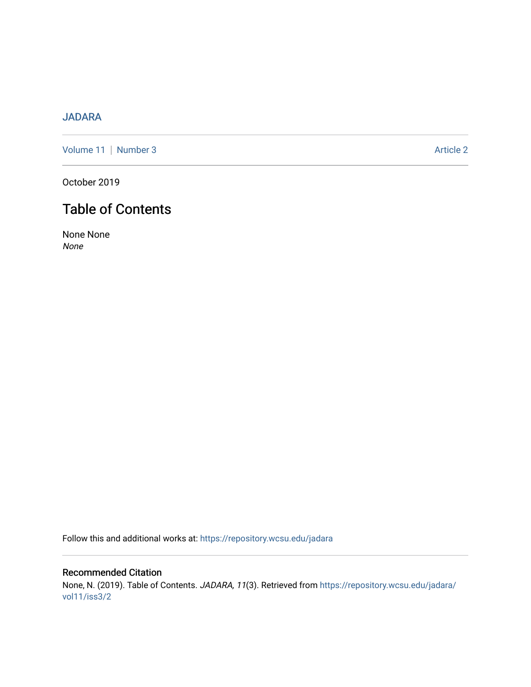## [JADARA](https://repository.wcsu.edu/jadara)

[Volume 11](https://repository.wcsu.edu/jadara/vol11) | [Number 3](https://repository.wcsu.edu/jadara/vol11/iss3) Article 2

October 2019

# Table of Contents

None None None

Follow this and additional works at: [https://repository.wcsu.edu/jadara](https://repository.wcsu.edu/jadara?utm_source=repository.wcsu.edu%2Fjadara%2Fvol11%2Fiss3%2F2&utm_medium=PDF&utm_campaign=PDFCoverPages)

Recommended Citation None, N. (2019). Table of Contents. JADARA, 11(3). Retrieved from [https://repository.wcsu.edu/jadara/](https://repository.wcsu.edu/jadara/vol11/iss3/2?utm_source=repository.wcsu.edu%2Fjadara%2Fvol11%2Fiss3%2F2&utm_medium=PDF&utm_campaign=PDFCoverPages) [vol11/iss3/2](https://repository.wcsu.edu/jadara/vol11/iss3/2?utm_source=repository.wcsu.edu%2Fjadara%2Fvol11%2Fiss3%2F2&utm_medium=PDF&utm_campaign=PDFCoverPages)